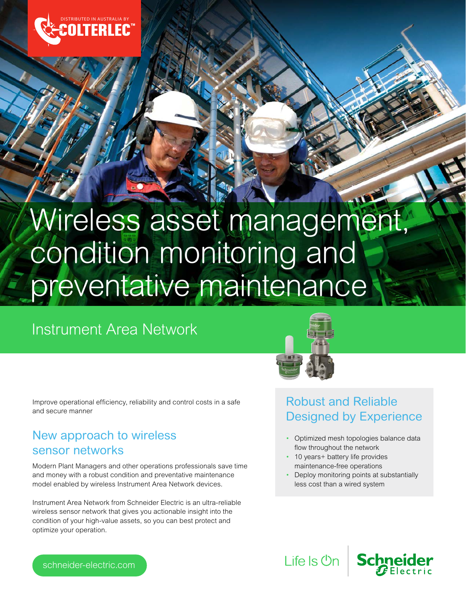

# Wireless asset management, condition monitoring and preventative maintenance

## Instrument Area Network



Improve operational efficiency, reliability and control costs in a safe and secure manner

## New approach to wireless sensor networks

Modern Plant Managers and other operations professionals save time and money with a robust condition and preventative maintenance model enabled by wireless Instrument Area Network devices.

Instrument Area Network from Schneider Electric is an ultra-reliable wireless sensor network that gives you actionable insight into the condition of your high-value assets, so you can best protect and optimize your operation.

## Robust and Reliable Designed by Experience

- Optimized mesh topologies balance data flow throughout the network
- 10 years+ battery life provides maintenance-free operations
- Deploy monitoring points at substantially less cost than a wired system

Life Is On Schneider

schneider-electric.com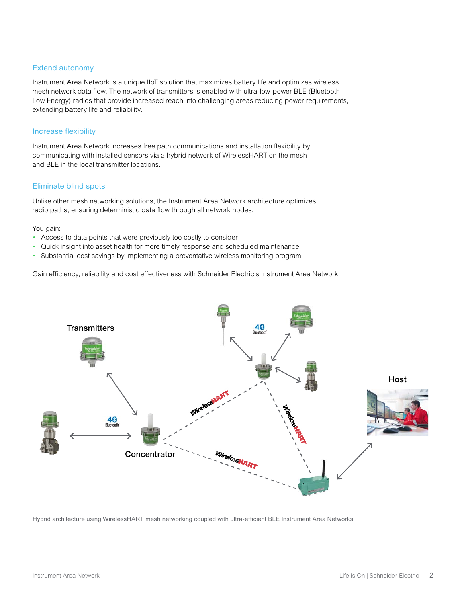### Extend autonomy

Instrument Area Network is a unique IIoT solution that maximizes battery life and optimizes wireless mesh network data flow. The network of transmitters is enabled with ultra-low-power BLE (Bluetooth Low Energy) radios that provide increased reach into challenging areas reducing power requirements, extending battery life and reliability.

#### Increase flexibility

Instrument Area Network increases free path communications and installation flexibility by communicating with installed sensors via a hybrid network of WirelessHART on the mesh and BLE in the local transmitter locations.

#### Eliminate blind spots

Unlike other mesh networking solutions, the Instrument Area Network architecture optimizes radio paths, ensuring deterministic data flow through all network nodes.

You gain:

- Access to data points that were previously too costly to consider
- Quick insight into asset health for more timely response and scheduled maintenance
- Substantial cost savings by implementing a preventative wireless monitoring program

Gain efficiency, reliability and cost effectiveness with Schneider Electric's Instrument Area Network.



Hybrid architecture using WirelessHART mesh networking coupled with ultra-efficient BLE Instrument Area Networks